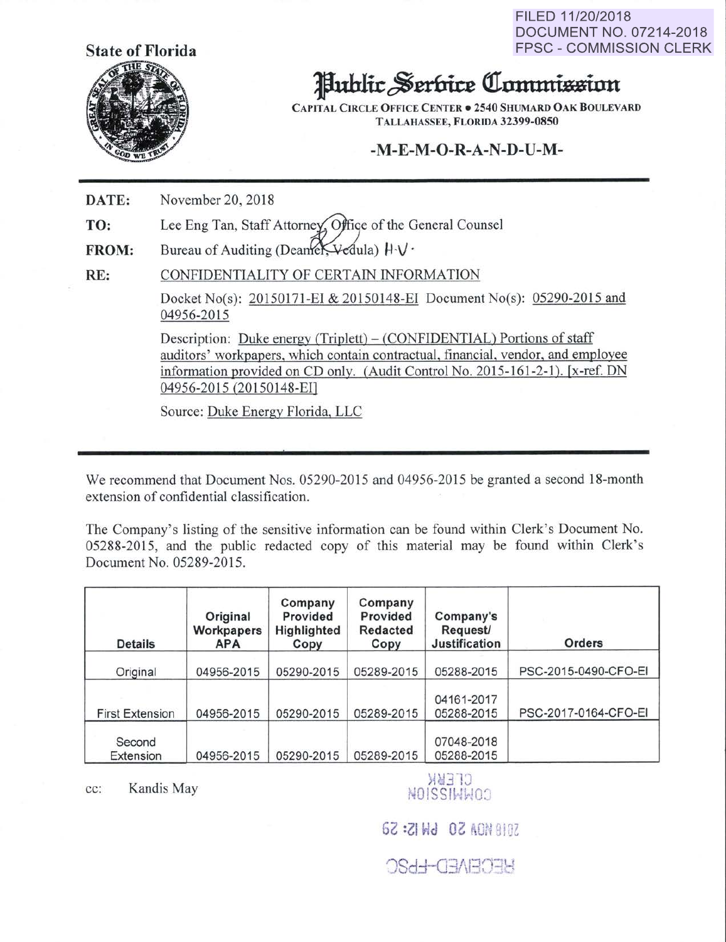FILED 11/20/2018 DOCUMENT NO. 07214-2018 FPSC - COMMISSION CLERK



## Hublic Serbice Commission

CAPITAL CIRCLE OFFICE CENTER • 2540 SHUMARD OAK BOULEVARD TALLAHASSEE, FLORIDA 32399-0850

## -M-E-M-0-R-A-N-D-U-M-

DATE: November 20, 2018

TO: Lee Eng Tan, Staff Attorney, Office of the General Counsel

FROM: Bureau of Auditing (Deamer Vedula)  $\|\cdot\|$ .

RE: CONFIDENTIALITY OF CERTAIN INFORMATION

> Docket No(s): 20150171 -EI & 20150148-EI Document No(s): 05290-2015 and 04956-2015

> Description: Duke energy (Triplett) – (CONFIDENTIAL) Portions of staff auditors' workpapers. which contain contractual, financial, vendor, and employee information provided on CD only. (Audit Control No. 2015-161-2-1). [x-ref. DN 04956-2015 (20150148-EI]

Source: Duke Energy Florida, LLC

We recommend that Document Nos. 05290-2015 and 04956-2015 be granted a second 18-month extension of confidential classification.

The Company's listing of the sensitive information can be found within Clerk's Document No. 05288-2015, and the public redacted copy of this material may be found within Clerk's Document No. 05289-2015.

| <b>Details</b>         | Original<br>Workpapers<br><b>APA</b> | Company<br>Provided<br>Highlighted<br>Copy | Company<br>Provided<br><b>Redacted</b><br>Copy | Company's<br><b>Request/</b><br>Justification | <b>Orders</b>        |
|------------------------|--------------------------------------|--------------------------------------------|------------------------------------------------|-----------------------------------------------|----------------------|
| Original               | 04956-2015                           | 05290-2015                                 | 05289-2015                                     | 05288-2015                                    | PSC-2015-0490-CFO-EI |
|                        |                                      |                                            |                                                | 04161-2017                                    |                      |
| <b>First Extension</b> | 04956-2015                           | 05290-2015                                 | 05289-2015                                     | 05288-2015                                    | PSC-2017-0164-CFO-EI |
| Second<br>Extension    | 04956-2015                           | 05290-2015                                 | 05289-2015                                     | 07048-2018<br>05288-2015                      |                      |

cc: Kandis May

CLERK **NOISSIMMOD** 

GZ : ZI Wd 02 AON 8107

**OSH-CEARCER** ') South Track street to the state searches to the control track the co-